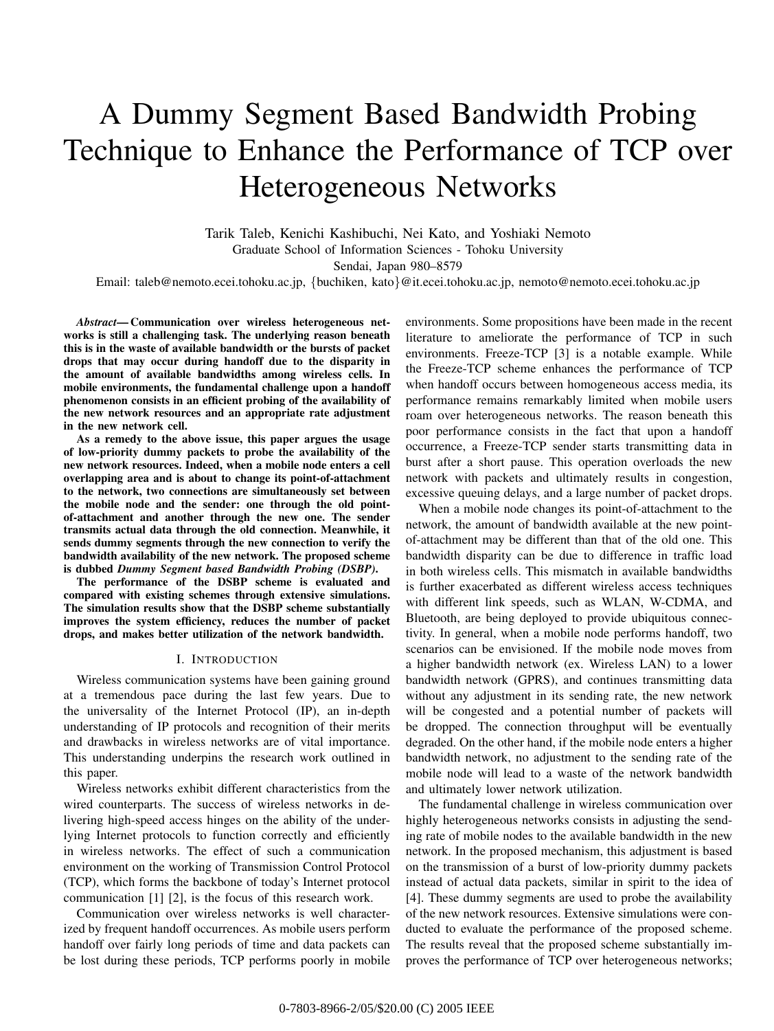# A Dummy Segment Based Bandwidth Probing Technique to Enhance the Performance of TCP over Heterogeneous Networks

Tarik Taleb, Kenichi Kashibuchi, Nei Kato, and Yoshiaki Nemoto Graduate School of Information Sciences - Tohoku University Sendai, Japan 980–8579

Email: taleb@nemoto.ecei.tohoku.ac.jp, *{*buchiken, kato*}*@it.ecei.tohoku.ac.jp, nemoto@nemoto.ecei.tohoku.ac.jp

*Abstract***— Communication over wireless heterogeneous networks is still a challenging task. The underlying reason beneath this is in the waste of available bandwidth or the bursts of packet drops that may occur during handoff due to the disparity in the amount of available bandwidths among wireless cells. In mobile environments, the fundamental challenge upon a handoff phenomenon consists in an efficient probing of the availability of the new network resources and an appropriate rate adjustment in the new network cell.**

**As a remedy to the above issue, this paper argues the usage of low-priority dummy packets to probe the availability of the new network resources. Indeed, when a mobile node enters a cell overlapping area and is about to change its point-of-attachment to the network, two connections are simultaneously set between the mobile node and the sender: one through the old pointof-attachment and another through the new one. The sender transmits actual data through the old connection. Meanwhile, it sends dummy segments through the new connection to verify the bandwidth availability of the new network. The proposed scheme is dubbed** *Dummy Segment based Bandwidth Probing (DSBP)***.**

**The performance of the DSBP scheme is evaluated and compared with existing schemes through extensive simulations. The simulation results show that the DSBP scheme substantially improves the system efficiency, reduces the number of packet drops, and makes better utilization of the network bandwidth.**

## I. INTRODUCTION

Wireless communication systems have been gaining ground at a tremendous pace during the last few years. Due to the universality of the Internet Protocol (IP), an in-depth understanding of IP protocols and recognition of their merits and drawbacks in wireless networks are of vital importance. This understanding underpins the research work outlined in this paper.

Wireless networks exhibit different characteristics from the wired counterparts. The success of wireless networks in delivering high-speed access hinges on the ability of the underlying Internet protocols to function correctly and efficiently in wireless networks. The effect of such a communication environment on the working of Transmission Control Protocol (TCP), which forms the backbone of today's Internet protocol communication [1] [2], is the focus of this research work.

Communication over wireless networks is well characterized by frequent handoff occurrences. As mobile users perform handoff over fairly long periods of time and data packets can be lost during these periods, TCP performs poorly in mobile

environments. Some propositions have been made in the recent literature to ameliorate the performance of TCP in such environments. Freeze-TCP [3] is a notable example. While the Freeze-TCP scheme enhances the performance of TCP when handoff occurs between homogeneous access media, its performance remains remarkably limited when mobile users roam over heterogeneous networks. The reason beneath this poor performance consists in the fact that upon a handoff occurrence, a Freeze-TCP sender starts transmitting data in burst after a short pause. This operation overloads the new network with packets and ultimately results in congestion, excessive queuing delays, and a large number of packet drops.

When a mobile node changes its point-of-attachment to the network, the amount of bandwidth available at the new pointof-attachment may be different than that of the old one. This bandwidth disparity can be due to difference in traffic load in both wireless cells. This mismatch in available bandwidths is further exacerbated as different wireless access techniques with different link speeds, such as WLAN, W-CDMA, and Bluetooth, are being deployed to provide ubiquitous connectivity. In general, when a mobile node performs handoff, two scenarios can be envisioned. If the mobile node moves from a higher bandwidth network (ex. Wireless LAN) to a lower bandwidth network (GPRS), and continues transmitting data without any adjustment in its sending rate, the new network will be congested and a potential number of packets will be dropped. The connection throughput will be eventually degraded. On the other hand, if the mobile node enters a higher bandwidth network, no adjustment to the sending rate of the mobile node will lead to a waste of the network bandwidth and ultimately lower network utilization.

The fundamental challenge in wireless communication over highly heterogeneous networks consists in adjusting the sending rate of mobile nodes to the available bandwidth in the new network. In the proposed mechanism, this adjustment is based on the transmission of a burst of low-priority dummy packets instead of actual data packets, similar in spirit to the idea of [4]. These dummy segments are used to probe the availability of the new network resources. Extensive simulations were conducted to evaluate the performance of the proposed scheme. The results reveal that the proposed scheme substantially improves the performance of TCP over heterogeneous networks;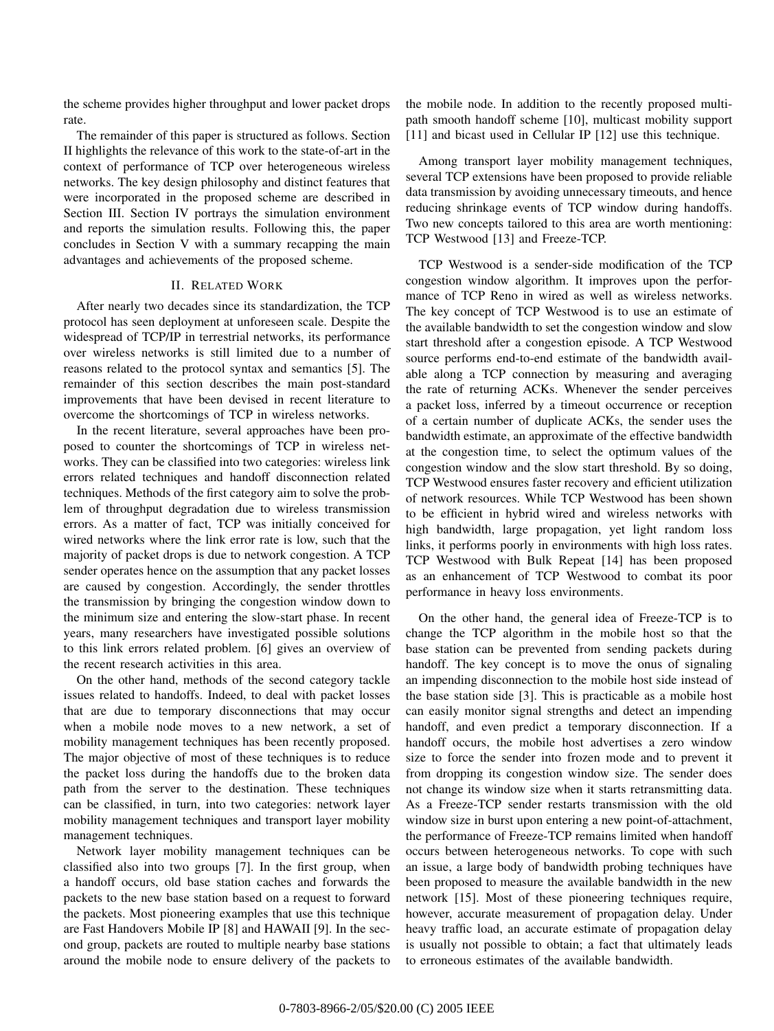the scheme provides higher throughput and lower packet drops rate.

The remainder of this paper is structured as follows. Section II highlights the relevance of this work to the state-of-art in the context of performance of TCP over heterogeneous wireless networks. The key design philosophy and distinct features that were incorporated in the proposed scheme are described in Section III. Section IV portrays the simulation environment and reports the simulation results. Following this, the paper concludes in Section V with a summary recapping the main advantages and achievements of the proposed scheme.

## II. RELATED WORK

After nearly two decades since its standardization, the TCP protocol has seen deployment at unforeseen scale. Despite the widespread of TCP/IP in terrestrial networks, its performance over wireless networks is still limited due to a number of reasons related to the protocol syntax and semantics [5]. The remainder of this section describes the main post-standard improvements that have been devised in recent literature to overcome the shortcomings of TCP in wireless networks.

In the recent literature, several approaches have been proposed to counter the shortcomings of TCP in wireless networks. They can be classified into two categories: wireless link errors related techniques and handoff disconnection related techniques. Methods of the first category aim to solve the problem of throughput degradation due to wireless transmission errors. As a matter of fact, TCP was initially conceived for wired networks where the link error rate is low, such that the majority of packet drops is due to network congestion. A TCP sender operates hence on the assumption that any packet losses are caused by congestion. Accordingly, the sender throttles the transmission by bringing the congestion window down to the minimum size and entering the slow-start phase. In recent years, many researchers have investigated possible solutions to this link errors related problem. [6] gives an overview of the recent research activities in this area.

On the other hand, methods of the second category tackle issues related to handoffs. Indeed, to deal with packet losses that are due to temporary disconnections that may occur when a mobile node moves to a new network, a set of mobility management techniques has been recently proposed. The major objective of most of these techniques is to reduce the packet loss during the handoffs due to the broken data path from the server to the destination. These techniques can be classified, in turn, into two categories: network layer mobility management techniques and transport layer mobility management techniques.

Network layer mobility management techniques can be classified also into two groups [7]. In the first group, when a handoff occurs, old base station caches and forwards the packets to the new base station based on a request to forward the packets. Most pioneering examples that use this technique are Fast Handovers Mobile IP [8] and HAWAII [9]. In the second group, packets are routed to multiple nearby base stations around the mobile node to ensure delivery of the packets to

the mobile node. In addition to the recently proposed multipath smooth handoff scheme [10], multicast mobility support [11] and bicast used in Cellular IP [12] use this technique.

Among transport layer mobility management techniques, several TCP extensions have been proposed to provide reliable data transmission by avoiding unnecessary timeouts, and hence reducing shrinkage events of TCP window during handoffs. Two new concepts tailored to this area are worth mentioning: TCP Westwood [13] and Freeze-TCP.

TCP Westwood is a sender-side modification of the TCP congestion window algorithm. It improves upon the performance of TCP Reno in wired as well as wireless networks. The key concept of TCP Westwood is to use an estimate of the available bandwidth to set the congestion window and slow start threshold after a congestion episode. A TCP Westwood source performs end-to-end estimate of the bandwidth available along a TCP connection by measuring and averaging the rate of returning ACKs. Whenever the sender perceives a packet loss, inferred by a timeout occurrence or reception of a certain number of duplicate ACKs, the sender uses the bandwidth estimate, an approximate of the effective bandwidth at the congestion time, to select the optimum values of the congestion window and the slow start threshold. By so doing, TCP Westwood ensures faster recovery and efficient utilization of network resources. While TCP Westwood has been shown to be efficient in hybrid wired and wireless networks with high bandwidth, large propagation, yet light random loss links, it performs poorly in environments with high loss rates. TCP Westwood with Bulk Repeat [14] has been proposed as an enhancement of TCP Westwood to combat its poor performance in heavy loss environments.

On the other hand, the general idea of Freeze-TCP is to change the TCP algorithm in the mobile host so that the base station can be prevented from sending packets during handoff. The key concept is to move the onus of signaling an impending disconnection to the mobile host side instead of the base station side [3]. This is practicable as a mobile host can easily monitor signal strengths and detect an impending handoff, and even predict a temporary disconnection. If a handoff occurs, the mobile host advertises a zero window size to force the sender into frozen mode and to prevent it from dropping its congestion window size. The sender does not change its window size when it starts retransmitting data. As a Freeze-TCP sender restarts transmission with the old window size in burst upon entering a new point-of-attachment, the performance of Freeze-TCP remains limited when handoff occurs between heterogeneous networks. To cope with such an issue, a large body of bandwidth probing techniques have been proposed to measure the available bandwidth in the new network [15]. Most of these pioneering techniques require, however, accurate measurement of propagation delay. Under heavy traffic load, an accurate estimate of propagation delay is usually not possible to obtain; a fact that ultimately leads to erroneous estimates of the available bandwidth.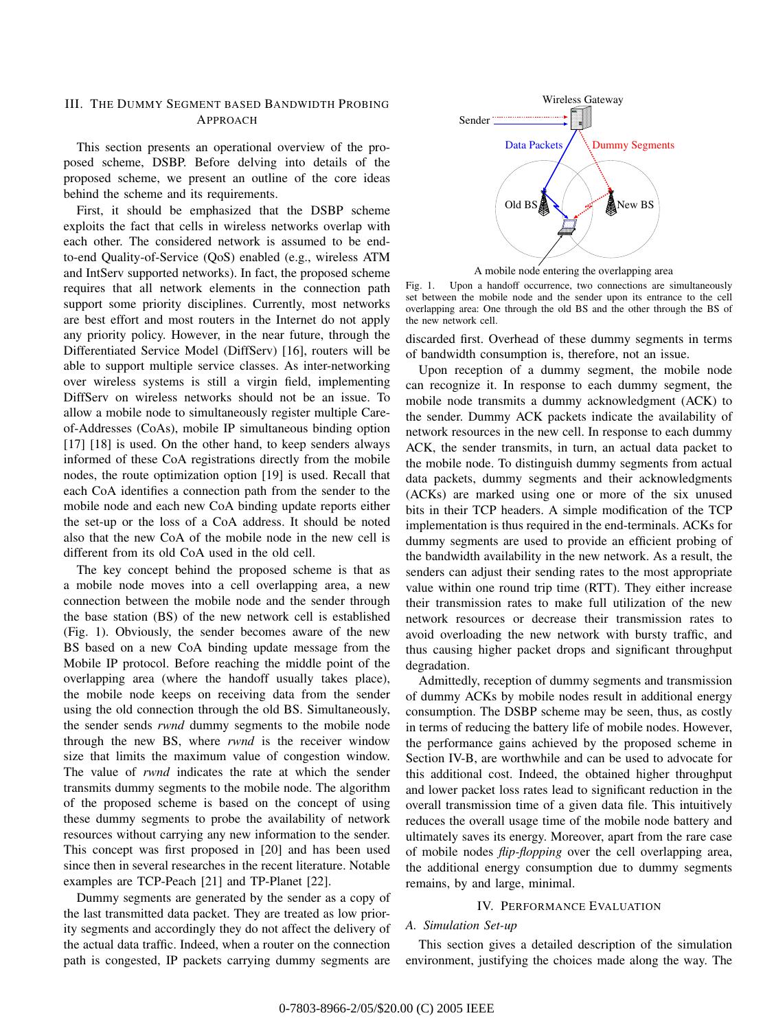# III. THE DUMMY SEGMENT BASED BANDWIDTH PROBING APPROACH

This section presents an operational overview of the proposed scheme, DSBP. Before delving into details of the proposed scheme, we present an outline of the core ideas behind the scheme and its requirements.

First, it should be emphasized that the DSBP scheme exploits the fact that cells in wireless networks overlap with each other. The considered network is assumed to be endto-end Quality-of-Service (QoS) enabled (e.g., wireless ATM and IntServ supported networks). In fact, the proposed scheme requires that all network elements in the connection path support some priority disciplines. Currently, most networks are best effort and most routers in the Internet do not apply any priority policy. However, in the near future, through the Differentiated Service Model (DiffServ) [16], routers will be able to support multiple service classes. As inter-networking over wireless systems is still a virgin field, implementing DiffServ on wireless networks should not be an issue. To allow a mobile node to simultaneously register multiple Careof-Addresses (CoAs), mobile IP simultaneous binding option [17] [18] is used. On the other hand, to keep senders always informed of these CoA registrations directly from the mobile nodes, the route optimization option [19] is used. Recall that each CoA identifies a connection path from the sender to the mobile node and each new CoA binding update reports either the set-up or the loss of a CoA address. It should be noted also that the new CoA of the mobile node in the new cell is different from its old CoA used in the old cell.

The key concept behind the proposed scheme is that as a mobile node moves into a cell overlapping area, a new connection between the mobile node and the sender through the base station (BS) of the new network cell is established (Fig. 1). Obviously, the sender becomes aware of the new BS based on a new CoA binding update message from the Mobile IP protocol. Before reaching the middle point of the overlapping area (where the handoff usually takes place), the mobile node keeps on receiving data from the sender using the old connection through the old BS. Simultaneously, the sender sends *rwnd* dummy segments to the mobile node through the new BS, where *rwnd* is the receiver window size that limits the maximum value of congestion window. The value of *rwnd* indicates the rate at which the sender transmits dummy segments to the mobile node. The algorithm of the proposed scheme is based on the concept of using these dummy segments to probe the availability of network resources without carrying any new information to the sender. This concept was first proposed in [20] and has been used since then in several researches in the recent literature. Notable examples are TCP-Peach [21] and TP-Planet [22].

Dummy segments are generated by the sender as a copy of the last transmitted data packet. They are treated as low priority segments and accordingly they do not affect the delivery of the actual data traffic. Indeed, when a router on the connection path is congested, IP packets carrying dummy segments are



A mobile node entering the overlapping area

Fig. 1. Upon a handoff occurrence, two connections are simultaneously set between the mobile node and the sender upon its entrance to the cell overlapping area: One through the old BS and the other through the BS of the new network cell.

discarded first. Overhead of these dummy segments in terms of bandwidth consumption is, therefore, not an issue.

Upon reception of a dummy segment, the mobile node can recognize it. In response to each dummy segment, the mobile node transmits a dummy acknowledgment (ACK) to the sender. Dummy ACK packets indicate the availability of network resources in the new cell. In response to each dummy ACK, the sender transmits, in turn, an actual data packet to the mobile node. To distinguish dummy segments from actual data packets, dummy segments and their acknowledgments (ACKs) are marked using one or more of the six unused bits in their TCP headers. A simple modification of the TCP implementation is thus required in the end-terminals. ACKs for dummy segments are used to provide an efficient probing of the bandwidth availability in the new network. As a result, the senders can adjust their sending rates to the most appropriate value within one round trip time (RTT). They either increase their transmission rates to make full utilization of the new network resources or decrease their transmission rates to avoid overloading the new network with bursty traffic, and thus causing higher packet drops and significant throughput degradation.

Admittedly, reception of dummy segments and transmission of dummy ACKs by mobile nodes result in additional energy consumption. The DSBP scheme may be seen, thus, as costly in terms of reducing the battery life of mobile nodes. However, the performance gains achieved by the proposed scheme in Section IV-B, are worthwhile and can be used to advocate for this additional cost. Indeed, the obtained higher throughput and lower packet loss rates lead to significant reduction in the overall transmission time of a given data file. This intuitively reduces the overall usage time of the mobile node battery and ultimately saves its energy. Moreover, apart from the rare case of mobile nodes *flip-flopping* over the cell overlapping area, the additional energy consumption due to dummy segments remains, by and large, minimal.

# IV. PERFORMANCE EVALUATION

## *A. Simulation Set-up*

This section gives a detailed description of the simulation environment, justifying the choices made along the way. The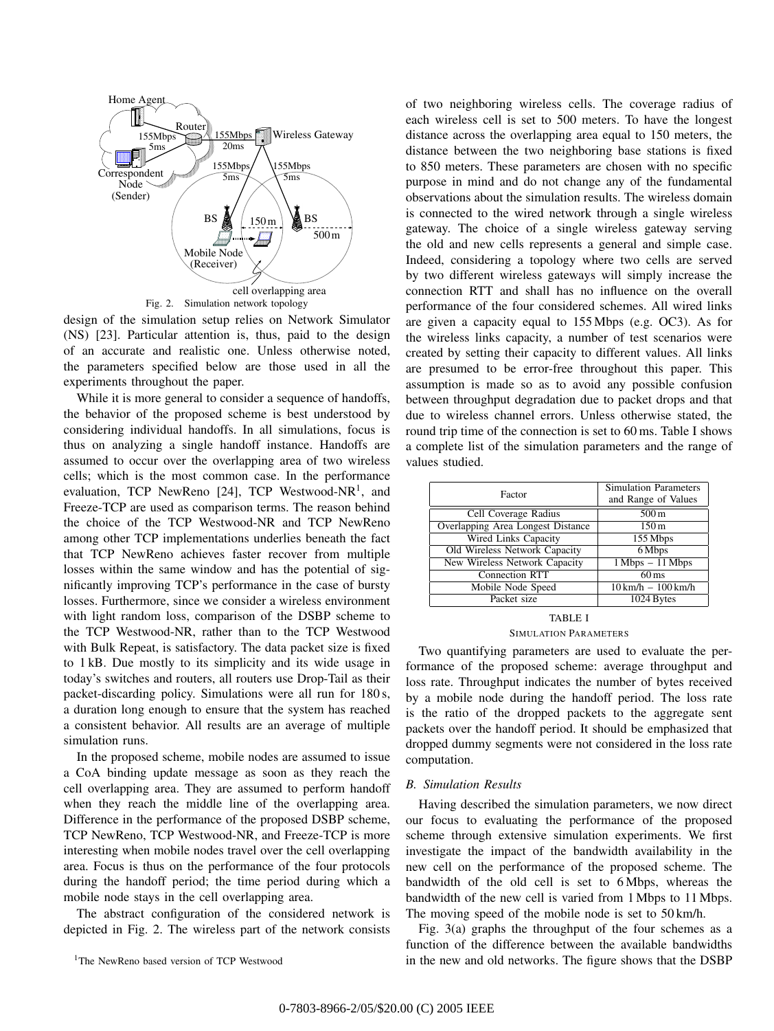

Fig. 2. Simulation network topology

design of the simulation setup relies on Network Simulator (NS) [23]. Particular attention is, thus, paid to the design of an accurate and realistic one. Unless otherwise noted, the parameters specified below are those used in all the experiments throughout the paper.

While it is more general to consider a sequence of handoffs, the behavior of the proposed scheme is best understood by considering individual handoffs. In all simulations, focus is thus on analyzing a single handoff instance. Handoffs are assumed to occur over the overlapping area of two wireless cells; which is the most common case. In the performance evaluation, TCP NewReno [24], TCP Westwood-NR<sup>1</sup>, and Freeze-TCP are used as comparison terms. The reason behind the choice of the TCP Westwood-NR and TCP NewReno among other TCP implementations underlies beneath the fact that TCP NewReno achieves faster recover from multiple losses within the same window and has the potential of significantly improving TCP's performance in the case of bursty losses. Furthermore, since we consider a wireless environment with light random loss, comparison of the DSBP scheme to the TCP Westwood-NR, rather than to the TCP Westwood with Bulk Repeat, is satisfactory. The data packet size is fixed to 1 kB. Due mostly to its simplicity and its wide usage in today's switches and routers, all routers use Drop-Tail as their packet-discarding policy. Simulations were all run for 180 s, a duration long enough to ensure that the system has reached a consistent behavior. All results are an average of multiple simulation runs.

In the proposed scheme, mobile nodes are assumed to issue a CoA binding update message as soon as they reach the cell overlapping area. They are assumed to perform handoff when they reach the middle line of the overlapping area. Difference in the performance of the proposed DSBP scheme, TCP NewReno, TCP Westwood-NR, and Freeze-TCP is more interesting when mobile nodes travel over the cell overlapping area. Focus is thus on the performance of the four protocols during the handoff period; the time period during which a mobile node stays in the cell overlapping area.

The abstract configuration of the considered network is depicted in Fig. 2. The wireless part of the network consists of two neighboring wireless cells. The coverage radius of each wireless cell is set to 500 meters. To have the longest distance across the overlapping area equal to 150 meters, the distance between the two neighboring base stations is fixed to 850 meters. These parameters are chosen with no specific purpose in mind and do not change any of the fundamental observations about the simulation results. The wireless domain is connected to the wired network through a single wireless gateway. The choice of a single wireless gateway serving the old and new cells represents a general and simple case. Indeed, considering a topology where two cells are served by two different wireless gateways will simply increase the connection RTT and shall has no influence on the overall performance of the four considered schemes. All wired links are given a capacity equal to 155 Mbps (e.g. OC3). As for the wireless links capacity, a number of test scenarios were created by setting their capacity to different values. All links are presumed to be error-free throughout this paper. This assumption is made so as to avoid any possible confusion between throughput degradation due to packet drops and that due to wireless channel errors. Unless otherwise stated, the round trip time of the connection is set to 60 ms. Table I shows a complete list of the simulation parameters and the range of values studied.

| Factor                            | <b>Simulation Parameters</b>               |
|-----------------------------------|--------------------------------------------|
|                                   | and Range of Values                        |
|                                   |                                            |
| Cell Coverage Radius              | $500 \,\mathrm{m}$                         |
| Overlapping Area Longest Distance | 150 <sub>m</sub>                           |
| Wired Links Capacity              | 155 Mbps                                   |
| Old Wireless Network Capacity     | 6 Mbps                                     |
| New Wireless Network Capacity     | $1 \text{ Mbps} - 11 \text{ Mbps}$         |
| <b>Connection RTT</b>             | $60 \,\mathrm{ms}$                         |
| Mobile Node Speed                 | $10 \,\mathrm{km/h} - 100 \,\mathrm{km/h}$ |
| Packet size                       | 1024 Bytes                                 |
| TABLE I                           |                                            |

SIMULATION PARAMETERS

Two quantifying parameters are used to evaluate the performance of the proposed scheme: average throughput and loss rate. Throughput indicates the number of bytes received by a mobile node during the handoff period. The loss rate is the ratio of the dropped packets to the aggregate sent packets over the handoff period. It should be emphasized that dropped dummy segments were not considered in the loss rate computation.

#### *B. Simulation Results*

Having described the simulation parameters, we now direct our focus to evaluating the performance of the proposed scheme through extensive simulation experiments. We first investigate the impact of the bandwidth availability in the new cell on the performance of the proposed scheme. The bandwidth of the old cell is set to 6 Mbps, whereas the bandwidth of the new cell is varied from 1 Mbps to 11 Mbps. The moving speed of the mobile node is set to 50 km/h.

Fig. 3(a) graphs the throughput of the four schemes as a function of the difference between the available bandwidths in the new and old networks. The figure shows that the DSBP

<sup>&</sup>lt;sup>1</sup>The NewReno based version of TCP Westwood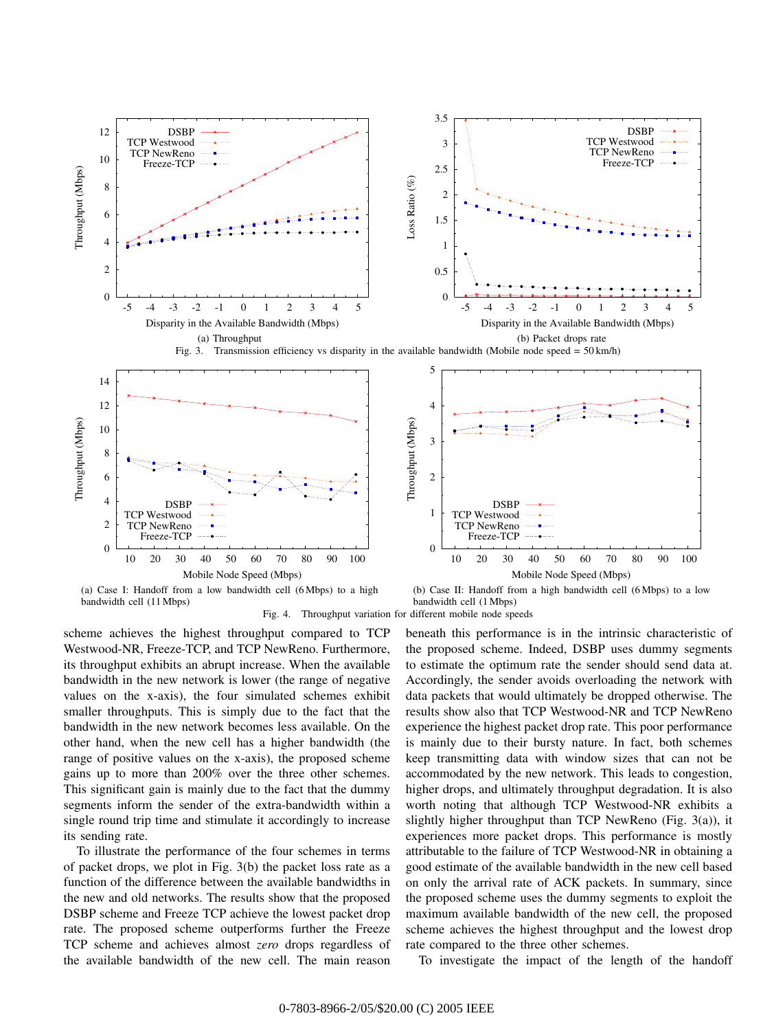

3.5



bandwidth cell (1 Mbps)



scheme achieves the highest throughput compared to TCP Westwood-NR, Freeze-TCP, and TCP NewReno. Furthermore, its throughput exhibits an abrupt increase. When the available bandwidth in the new network is lower (the range of negative values on the x-axis), the four simulated schemes exhibit smaller throughputs. This is simply due to the fact that the bandwidth in the new network becomes less available. On the other hand, when the new cell has a higher bandwidth (the range of positive values on the x-axis), the proposed scheme gains up to more than 200% over the three other schemes. This significant gain is mainly due to the fact that the dummy segments inform the sender of the extra-bandwidth within a single round trip time and stimulate it accordingly to increase its sending rate.

To illustrate the performance of the four schemes in terms of packet drops, we plot in Fig. 3(b) the packet loss rate as a function of the difference between the available bandwidths in the new and old networks. The results show that the proposed DSBP scheme and Freeze TCP achieve the lowest packet drop rate. The proposed scheme outperforms further the Freeze TCP scheme and achieves almost *zero* drops regardless of the available bandwidth of the new cell. The main reason

beneath this performance is in the intrinsic characteristic of the proposed scheme. Indeed, DSBP uses dummy segments to estimate the optimum rate the sender should send data at. Accordingly, the sender avoids overloading the network with data packets that would ultimately be dropped otherwise. The results show also that TCP Westwood-NR and TCP NewReno experience the highest packet drop rate. This poor performance is mainly due to their bursty nature. In fact, both schemes keep transmitting data with window sizes that can not be accommodated by the new network. This leads to congestion, higher drops, and ultimately throughput degradation. It is also worth noting that although TCP Westwood-NR exhibits a slightly higher throughput than TCP NewReno (Fig. 3(a)), it experiences more packet drops. This performance is mostly attributable to the failure of TCP Westwood-NR in obtaining a good estimate of the available bandwidth in the new cell based on only the arrival rate of ACK packets. In summary, since the proposed scheme uses the dummy segments to exploit the maximum available bandwidth of the new cell, the proposed scheme achieves the highest throughput and the lowest drop rate compared to the three other schemes.

To investigate the impact of the length of the handoff